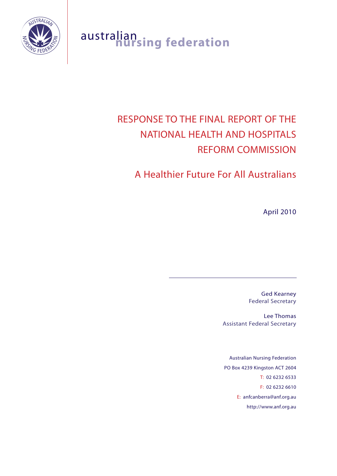

# australian **nursing federation**

# RESPONSE TO THE FINAL REPORT OF THE NATIONAL HEALTH AND HOSPITALS REFORM COMMISSION

# A Healthier Future For All Australians

April 2010

Ged Kearney Federal Secretary

Lee Thomas Assistant Federal Secretary

Australian Nursing Federation PO Box 4239 Kingston ACT 2604 T: 02 6232 6533 F: 02 6232 6610 E: anfcanberra@anf.org.au http://www.anf.org.au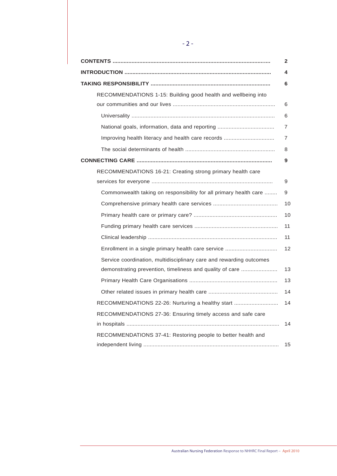|                                                                     | 2  |
|---------------------------------------------------------------------|----|
| <u> INTRODUCTION ……………………………………………………………………………………</u>               | 4  |
|                                                                     | 6  |
| RECOMMENDATIONS 1-15: Building good health and wellbeing into       |    |
|                                                                     | 6  |
|                                                                     | 6  |
| National goals, information, data and reporting                     | 7  |
| Improving health literacy and health care records                   | 7  |
|                                                                     | 8  |
|                                                                     | 9  |
| RECOMMENDATIONS 16-21: Creating strong primary health care          |    |
|                                                                     | 9  |
| Commonwealth taking on responsibility for all primary health care   | 9  |
|                                                                     | 10 |
|                                                                     | 10 |
|                                                                     | 11 |
|                                                                     | 11 |
|                                                                     | 12 |
| Service coordination, multidisciplinary care and rewarding outcomes |    |
| demonstrating prevention, timeliness and quality of care            | 13 |
|                                                                     | 13 |
|                                                                     | 14 |
| RECOMMENDATIONS 22-26: Nurturing a healthy start                    | 14 |
| RECOMMENDATIONS 27-36: Ensuring timely access and safe care         |    |
|                                                                     | 14 |
| RECOMMENDATIONS 37-41: Restoring people to better health and        |    |
|                                                                     | 15 |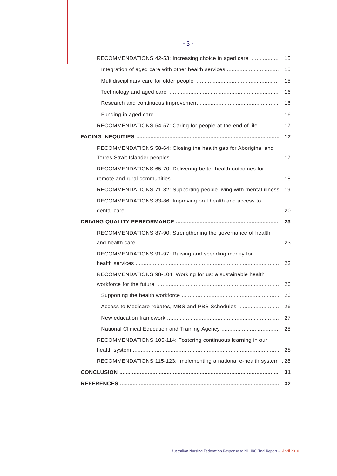| RECOMMENDATIONS 42-53: Increasing choice in aged care                  | 15 |
|------------------------------------------------------------------------|----|
| Integration of aged care with other health services                    | 15 |
|                                                                        | 15 |
|                                                                        | 16 |
|                                                                        | 16 |
|                                                                        | 16 |
| RECOMMENDATIONS 54-57: Caring for people at the end of life            | 17 |
|                                                                        | 17 |
| RECOMMENDATIONS 58-64: Closing the health gap for Aboriginal and       | 17 |
| RECOMMENDATIONS 65-70: Delivering better health outcomes for           |    |
|                                                                        | 18 |
| RECOMMENDATIONS 71-82: Supporting people living with mental illness 19 |    |
| RECOMMENDATIONS 83-86: Improving oral health and access to             |    |
|                                                                        | 20 |
|                                                                        | 23 |
| RECOMMENDATIONS 87-90: Strengthening the governance of health          | 23 |
| RECOMMENDATIONS 91-97: Raising and spending money for                  |    |
|                                                                        | 23 |
| RECOMMENDATIONS 98-104: Working for us: a sustainable health           |    |
|                                                                        | 26 |
|                                                                        | 26 |
| Access to Medicare rebates, MBS and PBS Schedules                      | 26 |
|                                                                        | 27 |
|                                                                        | 28 |
| RECOMMENDATIONS 105-114: Fostering continuous learning in our          |    |
|                                                                        | 28 |
| RECOMMENDATIONS 115-123: Implementing a national e-health system  28   |    |
|                                                                        | 31 |
|                                                                        | 32 |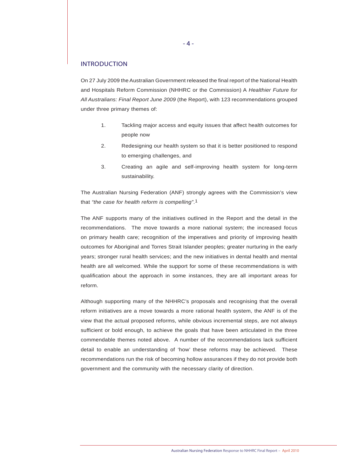#### INTRODUCTION

On 27 July 2009 the Australian Government released the final report of the National Health and Hospitals Reform Commission (NHHRC or the Commission) A *Healthier Future for All Australians: Final Report June 2009* (the Report), with 123 recommendations grouped under three primary themes of:

- 1. Tackling major access and equity issues that affect health outcomes for people now
- 2. Redesigning our health system so that it is better positioned to respond to emerging challenges, and
- 3. Creating an agile and self-improving health system for long-term sustainability.

The Australian Nursing Federation (ANF) strongly agrees with the Commission's view that *"the case for health reform is compelling"*.1

The ANF supports many of the initiatives outlined in the Report and the detail in the recommendations. The move towards a more national system; the increased focus on primary health care; recognition of the imperatives and priority of improving health outcomes for Aboriginal and Torres Strait Islander peoples; greater nurturing in the early years; stronger rural health services; and the new initiatives in dental health and mental health are all welcomed. While the support for some of these recommendations is with qualification about the approach in some instances, they are all important areas for reform.

Although supporting many of the NHHRC's proposals and recognising that the overall reform initiatives are a move towards a more rational health system, the ANF is of the view that the actual proposed reforms, while obvious incremental steps, are not always sufficient or bold enough, to achieve the goals that have been articulated in the three commendable themes noted above. A number of the recommendations lack sufficient detail to enable an understanding of 'how' these reforms may be achieved. These recommendations run the risk of becoming hollow assurances if they do not provide both government and the community with the necessary clarity of direction.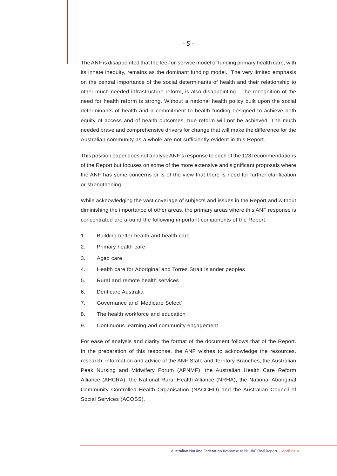The ANF is disappointed that the fee-for-service model of funding primary health care, with its innate inequity, remains as the dominant funding model. The very limited emphasis on the central importance of the social determinants of health and their relationship to other much needed infrastructure reform, is also disappointing. The recognition of the need for health reform is strong. Without a national health policy built upon the social determinants of health and a commitment to health funding designed to achieve both equity of access and of health outcomes, true reform will not be achieved. The much needed brave and comprehensive drivers for change that will make the difference for the Australian community as a whole are not sufficiently evident in this Report.

This position paper does not analyse ANF's response to each of the 123 recommendations of the Report but focuses on some of the more extensive and significant proposals where the ANF has some concerns or is of the view that there is need for further clarification or strengthening.

While acknowledging the vast coverage of subjects and issues in the Report and without diminishing the importance of other areas, the primary areas where this ANF response is concentrated are around the following important components of the Report:

- 1. Building better health and health care
- 2. Primary health care
- 3. Aged care
- 4. Health care for Aboriginal and Torres Strait Islander peoples
- 5. Rural and remote health services
- 6. Denticare Australia
- 7. Governance and 'Medicare Select'
- 8. The health workforce and education
- 9. Continuous learning and community engagement

For ease of analysis and clarity the format of the document follows that of the Report. In the preparation of this response, the ANF wishes to acknowledge the resources, research, information and advice of the ANF State and Territory Branches, the Australian Peak Nursing and Midwifery Forum (APNMF), the Australian Health Care Reform Alliance (AHCRA), the National Rural Health Alliance (NRHA), the National Aboriginal Community Controlled Health Organisation (NACCHO) and the Australian Council of Social Services (ACOSS).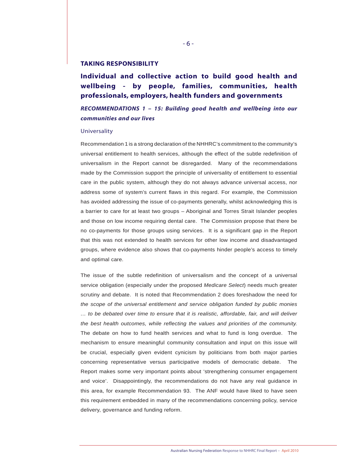#### **TAKING RESPONSIBILITY**

## **Individual and collective action to build good health and wellbeing - by people, families, communities, health professionals, employers, health funders and governments**

*RECOMMENDATIONS 1 – 15: Building good health and wellbeing into our communities and our lives*

#### Universality

Recommendation 1 is a strong declaration of the NHHRC's commitment to the community's universal entitlement to health services, although the effect of the subtle redefinition of universalism in the Report cannot be disregarded. Many of the recommendations made by the Commission support the principle of universality of entitlement to essential care in the public system, although they do not always advance universal access, nor address some of system's current flaws in this regard. For example, the Commission has avoided addressing the issue of co-payments generally, whilst acknowledging this is a barrier to care for at least two groups – Aboriginal and Torres Strait Islander peoples and those on low income requiring dental care. The Commission propose that there be no co-payments for those groups using services. It is a significant gap in the Report that this was not extended to health services for other low income and disadvantaged groups, where evidence also shows that co-payments hinder people's access to timely and optimal care.

The issue of the subtle redefinition of universalism and the concept of a universal service obligation (especially under the proposed *Medicare Select*) needs much greater scrutiny and debate. It is noted that Recommendation 2 does foreshadow the need for *the scope of the universal entitlement and service obligation funded by public monies … to be debated over time to ensure that it is realistic, affordable, fair, and will deliver the best health outcomes, while reflecting the values and priorities of the community.*  The debate on how to fund health services and what to fund is long overdue. The mechanism to ensure meaningful community consultation and input on this issue will be crucial, especially given evident cynicism by politicians from both major parties concerning representative versus participative models of democratic debate. The Report makes some very important points about 'strengthening consumer engagement and voice'. Disappointingly, the recommendations do not have any real guidance in this area, for example Recommendation 93. The ANF would have liked to have seen this requirement embedded in many of the recommendations concerning policy, service delivery, governance and funding reform.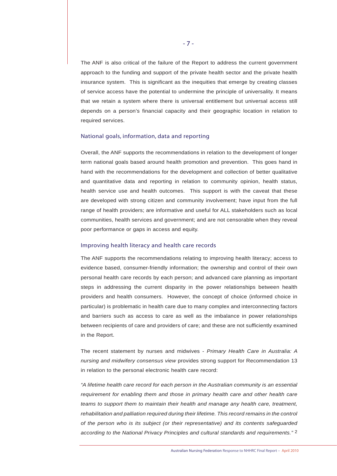The ANF is also critical of the failure of the Report to address the current government approach to the funding and support of the private health sector and the private health insurance system. This is significant as the inequities that emerge by creating classes of service access have the potential to undermine the principle of universality. It means that we retain a system where there is universal entitlement but universal access still depends on a person's financial capacity and their geographic location in relation to required services.

#### National goals, information, data and reporting

Overall, the ANF supports the recommendations in relation to the development of longer term national goals based around health promotion and prevention. This goes hand in hand with the recommendations for the development and collection of better qualitative and quantitative data and reporting in relation to community opinion, health status, health service use and health outcomes. This support is with the caveat that these are developed with strong citizen and community involvement; have input from the full range of health providers; are informative and useful for ALL stakeholders such as local communities, health services and government; and are not censorable when they reveal poor performance or gaps in access and equity.

#### Improving health literacy and health care records

The ANF supports the recommendations relating to improving health literacy; access to evidence based, consumer-friendly information; the ownership and control of their own personal health care records by each person; and advanced care planning as important steps in addressing the current disparity in the power relationships between health providers and health consumers. However, the concept of choice (informed choice in particular) is problematic in health care due to many complex and interconnecting factors and barriers such as access to care as well as the imbalance in power relationships between recipients of care and providers of care; and these are not sufficiently examined in the Report.

The recent statement by nurses and midwives - *Primary Health Care in Australia: A nursing and midwifery consensus view* provides strong support for Recommendation 13 in relation to the personal electronic health care record:

*"A lifetime health care record for each person in the Australian community is an essential requirement for enabling them and those in primary health care and other health care teams to support them to maintain their health and manage any health care, treatment,*  rehabilitation and palliation required during their lifetime. This record remains in the control *of the person who is its subject (or their representative) and its contents safeguarded according to the National Privacy Principles and cultural standards and requirements."* 2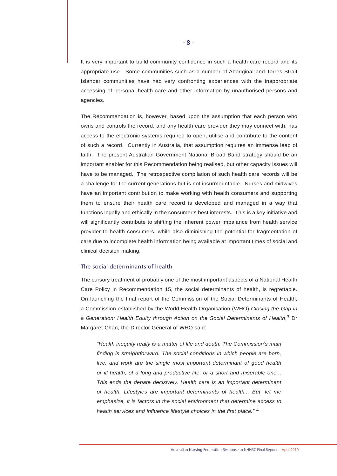It is very important to build community confidence in such a health care record and its appropriate use. Some communities such as a number of Aboriginal and Torres Strait Islander communities have had very confronting experiences with the inappropriate accessing of personal health care and other information by unauthorised persons and agencies.

The Recommendation is, however, based upon the assumption that each person who owns and controls the record, and any health care provider they may connect with, has access to the electronic systems required to open, utilise and contribute to the content of such a record. Currently in Australia, that assumption requires an immense leap of faith. The present Australian Government National Broad Band strategy should be an important enabler for this Recommendation being realised, but other capacity issues will have to be managed. The retrospective compilation of such health care records will be a challenge for the current generations but is not insurmountable. Nurses and midwives have an important contribution to make working with health consumers and supporting them to ensure their health care record is developed and managed in a way that functions legally and ethically in the consumer's best interests. This is a key initiative and will significantly contribute to shifting the inherent power imbalance from health service provider to health consumers, while also diminishing the potential for fragmentation of care due to incomplete health information being available at important times of social and clinical decision making.

#### The social determinants of health

The cursory treatment of probably one of the most important aspects of a National Health Care Policy in Recommendation 15, the social determinants of health, is regrettable. On launching the final report of the Commission of the Social Determinants of Health, a Commission established by the World Health Organisation (WHO) *Closing the Gap in a Generation: Health Equity through Action on the Social Determinants of Health*,3 Dr Margaret Chan, the Director General of WHO said:

*"Health inequity really is a matter of life and death. The Commission's main finding is straightforward. The social conditions in which people are born, live, and work are the single most important determinant of good health or ill health, of a long and productive life, or a short and miserable one... This ends the debate decisively. Health care is an important determinant of health. Lifestyles are important determinants of health... But, let me emphasize, it is factors in the social environment that determine access to health services and influence lifestyle choices in the first place."* 4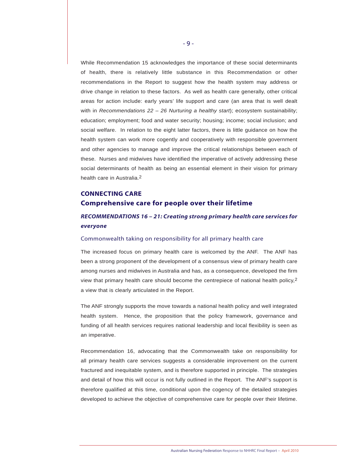While Recommendation 15 acknowledges the importance of these social determinants of health, there is relatively little substance in this Recommendation or other recommendations in the Report to suggest how the health system may address or drive change in relation to these factors. As well as health care generally, other critical areas for action include: early years' life support and care (an area that is well dealt with in *Recommendations 22 - 26 Nurturing a healthy start*); ecosystem sustainability; education; employment; food and water security; housing; income; social inclusion; and social welfare. In relation to the eight latter factors, there is little guidance on how the health system can work more cogently and cooperatively with responsible government and other agencies to manage and improve the critical relationships between each of these. Nurses and midwives have identified the imperative of actively addressing these social determinants of health as being an essential element in their vision for primary health care in Australia.2

## **CONNECTING CARE Comprehensive care for people over their lifetime**

## *RECOMMENDATIONS 16 – 21: Creating strong primary health care services for everyone*

#### Commonwealth taking on responsibility for all primary health care

The increased focus on primary health care is welcomed by the ANF. The ANF has been a strong proponent of the development of a consensus view of primary health care among nurses and midwives in Australia and has, as a consequence, developed the firm view that primary health care should become the centrepiece of national health policy, $2$ a view that is clearly articulated in the Report.

The ANF strongly supports the move towards a national health policy and well integrated health system. Hence, the proposition that the policy framework, governance and funding of all health services requires national leadership and local flexibility is seen as an imperative.

Recommendation 16, advocating that the Commonwealth take on responsibility for all primary health care services suggests a considerable improvement on the current fractured and inequitable system, and is therefore supported in principle. The strategies and detail of how this will occur is not fully outlined in the Report. The ANF's support is therefore qualified at this time, conditional upon the cogency of the detailed strategies developed to achieve the objective of comprehensive care for people over their lifetime.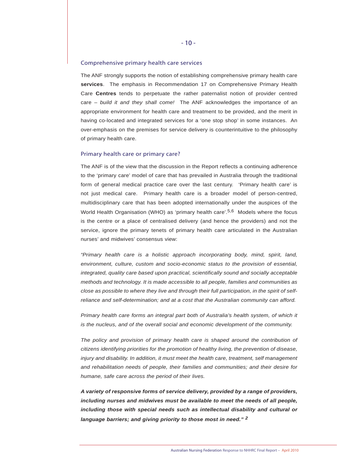#### Comprehensive primary health care services

The ANF strongly supports the notion of establishing comprehensive primary health care **services**. The emphasis in Recommendation 17 on Comprehensive Primary Health Care **Centres** tends to perpetuate the rather paternalist notion of provider centred care – *build it and they shall come!* The ANF acknowledges the importance of an appropriate environment for health care and treatment to be provided, and the merit in having co-located and integrated services for a 'one stop shop' in some instances. An over-emphasis on the premises for service delivery is counterintuitive to the philosophy of primary health care.

#### Primary health care or primary care?

The ANF is of the view that the discussion in the Report reflects a continuing adherence to the 'primary care' model of care that has prevailed in Australia through the traditional form of general medical practice care over the last century. 'Primary health care' is not just medical care. Primary health care is a broader model of person-centred, multidisciplinary care that has been adopted internationally under the auspices of the World Health Organisation (WHO) as 'primary health care'.<sup>5,6</sup> Models where the focus is the centre or a place of centralised delivery (and hence the providers) and not the service, ignore the primary tenets of primary health care articulated in the Australian nurses' and midwives' consensus view:

*"Primary health care is a holistic approach incorporating body, mind, spirit, land, environment, culture, custom and socio-economic status to the provision of essential, integrated, quality care based upon practical, scientifically sound and socially acceptable methods and technology. It is made accessible to all people, families and communities as close as possible to where they live and through their full participation, in the spirit of selfreliance and self-determination; and at a cost that the Australian community can afford.*

*Primary health care forms an integral part both of Australia's health system, of which it is the nucleus, and of the overall social and economic development of the community.*

The policy and provision of primary health care is shaped around the contribution of *citizens identifying priorities for the promotion of healthy living, the prevention of disease, injury and disability. In addition, it must meet the health care, treatment, self management and rehabilitation needs of people, their families and communities; and their desire for humane, safe care across the period of their lives.*

*A variety of responsive forms of service delivery, provided by a range of providers, including nurses and midwives must be available to meet the needs of all people, including those with special needs such as intellectual disability and cultural or language barriers; and giving priority to those most in need." 2*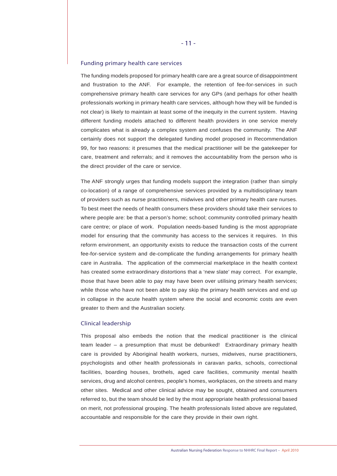#### Funding primary health care services

The funding models proposed for primary health care are a great source of disappointment and frustration to the ANF. For example, the retention of fee-for-services in such comprehensive primary health care services for any GPs (and perhaps for other health professionals working in primary health care services, although how they will be funded is not clear) is likely to maintain at least some of the inequity in the current system. Having different funding models attached to different health providers in one service merely complicates what is already a complex system and confuses the community. The ANF certainly does not support the delegated funding model proposed in Recommendation 99, for two reasons: it presumes that the medical practitioner will be the gatekeeper for care, treatment and referrals; and it removes the accountability from the person who is the direct provider of the care or service.

The ANF strongly urges that funding models support the integration (rather than simply co-location) of a range of comprehensive services provided by a multidisciplinary team of providers such as nurse practitioners, midwives and other primary health care nurses. To best meet the needs of health consumers these providers should take their services to where people are: be that a person's home; school; community controlled primary health care centre; or place of work. Population needs-based funding is the most appropriate model for ensuring that the community has access to the services it requires. In this reform environment, an opportunity exists to reduce the transaction costs of the current fee-for-service system and de-complicate the funding arrangements for primary health care in Australia. The application of the commercial marketplace in the health context has created some extraordinary distortions that a 'new slate' may correct. For example, those that have been able to pay may have been over utilising primary health services; while those who have not been able to pay skip the primary health services and end up in collapse in the acute health system where the social and economic costs are even greater to them and the Australian society.

#### Clinical leadership

This proposal also embeds the notion that the medical practitioner is the clinical team leader – a presumption that must be debunked! Extraordinary primary health care is provided by Aboriginal health workers, nurses, midwives, nurse practitioners, psychologists and other health professionals in caravan parks, schools, correctional facilities, boarding houses, brothels, aged care facilities, community mental health services, drug and alcohol centres, people's homes, workplaces, on the streets and many other sites. Medical and other clinical advice may be sought, obtained and consumers referred to, but the team should be led by the most appropriate health professional based on merit, not professional grouping. The health professionals listed above are regulated, accountable and responsible for the care they provide in their own right.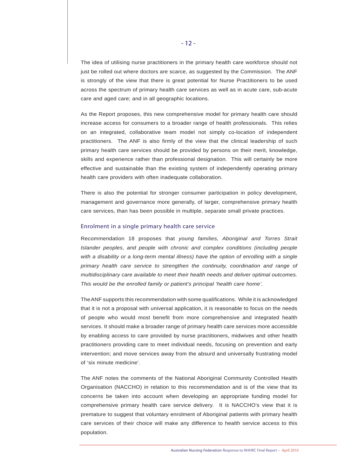The idea of utilising nurse practitioners in the primary health care workforce should not just be rolled out where doctors are scarce, as suggested by the Commission. The ANF is strongly of the view that there is great potential for Nurse Practitioners to be used across the spectrum of primary health care services as well as in acute care, sub-acute care and aged care; and in all geographic locations.

As the Report proposes, this new comprehensive model for primary health care should increase access for consumers to a broader range of health professionals. This relies on an integrated, collaborative team model not simply co-location of independent practitioners. The ANF is also firmly of the view that the clinical leadership of such primary health care services should be provided by persons on their merit, knowledge, skills and experience rather than professional designation. This will certainly be more effective and sustainable than the existing system of independently operating primary health care providers with often inadequate collaboration.

There is also the potential for stronger consumer participation in policy development, management and governance more generally, of larger, comprehensive primary health care services, than has been possible in multiple, separate small private practices.

#### Enrolment in a single primary health care service

Recommendation 18 proposes that *young families, Aboriginal and Torres Strait Islander peoples, and people with chronic and complex conditions (including people with a disability or a long-term mental illness) have the option of enrolling with a single primary health care service to strengthen the continuity, coordination and range of multidisciplinary care available to meet their health needs and deliver optimal outcomes. This would be the enrolled family or patient's principal 'health care home'.*

The ANF supports this recommendation with some qualifications. While it is acknowledged that it is not a proposal with universal application, it is reasonable to focus on the needs of people who would most benefit from more comprehensive and integrated health services. It should make a broader range of primary health care services more accessible by enabling access to care provided by nurse practitioners, midwives and other health practitioners providing care to meet individual needs, focusing on prevention and early intervention; and move services away from the absurd and universally frustrating model of 'six minute medicine'.

The ANF notes the comments of the National Aboriginal Community Controlled Health Organisation (NACCHO) in relation to this recommendation and is of the view that its concerns be taken into account when developing an appropriate funding model for comprehensive primary health care service delivery. It is NACCHO's view that it is premature to suggest that voluntary enrolment of Aboriginal patients with primary health care services of their choice will make any difference to health service access to this population.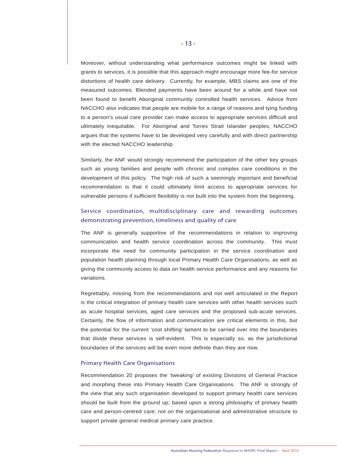Moreover, without understanding what performance outcomes might be linked with grants to services, it is possible that this approach might encourage more fee-for service distortions of health care delivery. Currently, for example, MBS claims are one of the measured outcomes. Blended payments have been around for a while and have not been found to benefit Aboriginal community controlled health services. Advice from NACCHO also indicates that people are mobile for a range of reasons and tying funding to a person's usual care provider can make access to appropriate services difficult and ultimately inequitable. For Aboriginal and Torres Strait Islander peoples, NACCHO argues that the systems have to be developed very carefully and with direct partnership with the elected NACCHO leadership.

Similarly, the ANF would strongly recommend the participation of the other key groups such as young families and people with chronic and complex care conditions in the development of this policy. The high risk of such a seemingly important and beneficial recommendation is that it could ultimately limit access to appropriate services for vulnerable persons if sufficient flexibility is not built into the system from the beginning.

### Service coordination, multidisciplinary care and rewarding outcomes demonstrating prevention, timeliness and quality of care

The ANF is generally supportive of the recommendations in relation to improving communication and health service coordination across the community. This must incorporate the need for community participation in the service coordination and population health planning through local Primary Health Care Organisations; as well as giving the community access to data on health service performance and any reasons for variations.

Regrettably, missing from the recommendations and not well articulated in the Report is the critical integration of primary health care services with other health services such as acute hospital services, aged care services and the proposed sub-acute services. Certainly, the flow of information and communication are critical elements in this, but the potential for the current 'cost shifting' lament to be carried over into the boundaries that divide these services is self-evident. This is especially so, as the jurisdictional boundaries of the services will be even more definite than they are now.

#### Primary Health Care Organisations

Recommendation 20 proposes the 'tweaking' of existing Divisions of General Practice and morphing these into Primary Health Care Organisations. The ANF is strongly of the view that any such organisation developed to support primary health care services should be built from the ground up; based upon a strong philosophy of primary health care and person-centred care; not on the organisational and administrative structure to support private general medical primary care practice.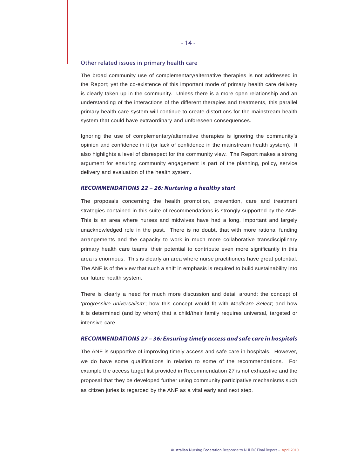#### Other related issues in primary health care

The broad community use of complementary/alternative therapies is not addressed in the Report; yet the co-existence of this important mode of primary health care delivery is clearly taken up in the community. Unless there is a more open relationship and an understanding of the interactions of the different therapies and treatments, this parallel primary health care system will continue to create distortions for the mainstream health system that could have extraordinary and unforeseen consequences.

Ignoring the use of complementary/alternative therapies is ignoring the community's opinion and confidence in it (or lack of confidence in the mainstream health system). It also highlights a level of disrespect for the community view. The Report makes a strong argument for ensuring community engagement is part of the planning, policy, service delivery and evaluation of the health system.

#### *RECOMMENDATIONS 22 – 26: Nurturing a healthy start*

The proposals concerning the health promotion, prevention, care and treatment strategies contained in this suite of recommendations is strongly supported by the ANF. This is an area where nurses and midwives have had a long, important and largely unacknowledged role in the past. There is no doubt, that with more rational funding arrangements and the capacity to work in much more collaborative transdisciplinary primary health care teams, their potential to contribute even more significantly in this area is enormous. This is clearly an area where nurse practitioners have great potential. The ANF is of the view that such a shift in emphasis is required to build sustainability into our future health system.

There is clearly a need for much more discussion and detail around: the concept of *'progressive universalism'*; how this concept would fit with *Medicare Select*; and how it is determined (and by whom) that a child/their family requires universal, targeted or intensive care.

#### *RECOMMENDATIONS 27 – 36: Ensuring timely access and safe care in hospitals*

The ANF is supportive of improving timely access and safe care in hospitals. However, we do have some qualifications in relation to some of the recommendations. For example the access target list provided in Recommendation 27 is not exhaustive and the proposal that they be developed further using community participative mechanisms such as citizen juries is regarded by the ANF as a vital early and next step.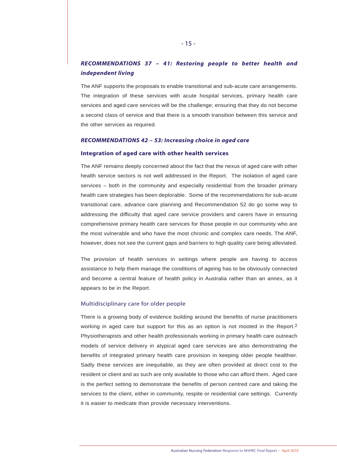## *RECOMMENDATIONS 37 – 41: Restoring people to better health and independent living*

The ANF supports the proposals to enable transitional and sub-acute care arrangements. The integration of these services with acute hospital services, primary health care services and aged care services will be the challenge; ensuring that they do not become a second class of service and that there is a smooth transition between this service and the other services as required.

#### *RECOMMENDATIONS 42 – 53: Increasing choice in aged care*

#### **Integration of aged care with other health services**

The ANF remains deeply concerned about the fact that the nexus of aged care with other health service sectors is not well addressed in the Report. The isolation of aged care services – both in the community and especially residential from the broader primary health care strategies has been deplorable. Some of the recommendations for sub-acute transitional care, advance care planning and Recommendation 52 do go some way to addressing the difficulty that aged care service providers and carers have in ensuring comprehensive primary health care services for those people in our community who are the most vulnerable and who have the most chronic and complex care needs. The ANF, however, does not see the current gaps and barriers to high quality care being alleviated.

The provision of health services in settings where people are having to access assistance to help them manage the conditions of ageing has to be obviously connected and become a central feature of health policy in Australia rather than an annex, as it appears to be in the Report.

#### Multidisciplinary care for older people

There is a growing body of evidence building around the benefits of nurse practitioners working in aged care but support for this as an option is not mooted in the Report.<sup>2</sup> Physiotherapists and other health professionals working in primary health care outreach models of service delivery in atypical aged care services are also demonstrating the benefits of integrated primary health care provision in keeping older people healthier. Sadly these services are inequitable, as they are often provided at direct cost to the resident or client and as such are only available to those who can afford them. Aged care is the perfect setting to demonstrate the benefits of person centred care and taking the services to the client, either in community, respite or residential care settings. Currently it is easier to medicate than provide necessary interventions.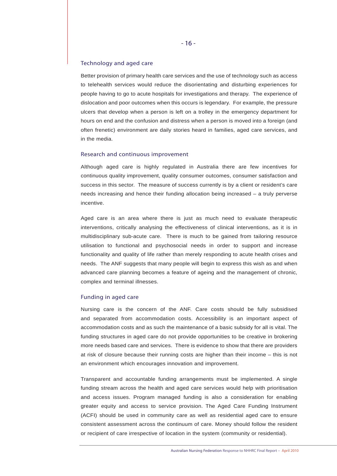#### Technology and aged care

Better provision of primary health care services and the use of technology such as access to telehealth services would reduce the disorientating and disturbing experiences for people having to go to acute hospitals for investigations and therapy. The experience of dislocation and poor outcomes when this occurs is legendary. For example, the pressure ulcers that develop when a person is left on a trolley in the emergency department for hours on end and the confusion and distress when a person is moved into a foreign (and often frenetic) environment are daily stories heard in families, aged care services, and in the media.

#### Research and continuous improvement

Although aged care is highly regulated in Australia there are few incentives for continuous quality improvement, quality consumer outcomes, consumer satisfaction and success in this sector. The measure of success currently is by a client or resident's care needs increasing and hence their funding allocation being increased – a truly perverse incentive.

Aged care is an area where there is just as much need to evaluate therapeutic interventions, critically analysing the effectiveness of clinical interventions, as it is in multidisciplinary sub-acute care. There is much to be gained from tailoring resource utilisation to functional and psychosocial needs in order to support and increase functionality and quality of life rather than merely responding to acute health crises and needs. The ANF suggests that many people will begin to express this wish as and when advanced care planning becomes a feature of ageing and the management of chronic, complex and terminal illnesses.

#### Funding in aged care

Nursing care is the concern of the ANF. Care costs should be fully subsidised and separated from accommodation costs. Accessibility is an important aspect of accommodation costs and as such the maintenance of a basic subsidy for all is vital. The funding structures in aged care do not provide opportunities to be creative in brokering more needs based care and services. There is evidence to show that there are providers at risk of closure because their running costs are higher than their income – this is not an environment which encourages innovation and improvement.

Transparent and accountable funding arrangements must be implemented. A single funding stream across the health and aged care services would help with prioritisation and access issues. Program managed funding is also a consideration for enabling greater equity and access to service provision. The Aged Care Funding Instrument (ACFI) should be used in community care as well as residential aged care to ensure consistent assessment across the continuum of care. Money should follow the resident or recipient of care irrespective of location in the system (community or residential).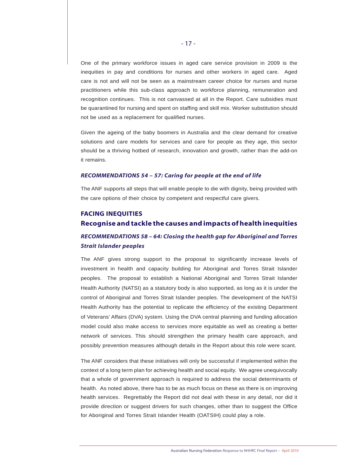One of the primary workforce issues in aged care service provision in 2009 is the inequities in pay and conditions for nurses and other workers in aged care. Aged care is not and will not be seen as a mainstream career choice for nurses and nurse practitioners while this sub-class approach to workforce planning, remuneration and recognition continues. This is not canvassed at all in the Report. Care subsidies must be quarantined for nursing and spent on staffing and skill mix. Worker substitution should not be used as a replacement for qualified nurses.

Given the ageing of the baby boomers in Australia and the clear demand for creative solutions and care models for services and care for people as they age, this sector should be a thriving hotbed of research, innovation and growth, rather than the add-on it remains.

#### *RECOMMENDATIONS 54 – 57: Caring for people at the end of life*

The ANF supports all steps that will enable people to die with dignity, being provided with the care options of their choice by competent and respectful care givers.

#### **FACING INEQUITIES**

## **Recognise and tackle the causes and impacts of health inequities**

## *RECOMMENDATIONS 58 – 64: Closing the health gap for Aboriginal and Torres Strait Islander peoples*

The ANF gives strong support to the proposal to significantly increase levels of investment in health and capacity building for Aboriginal and Torres Strait Islander peoples. The proposal to establish a National Aboriginal and Torres Strait Islander Health Authority (NATSI) as a statutory body is also supported, as long as it is under the control of Aboriginal and Torres Strait Islander peoples. The development of the NATSI Health Authority has the potential to replicate the efficiency of the existing Department of Veterans' Affairs (DVA) system. Using the DVA central planning and funding allocation model could also make access to services more equitable as well as creating a better network of services. This should strengthen the primary health care approach, and possibly prevention measures although details in the Report about this role were scant.

The ANF considers that these initiatives will only be successful if implemented within the context of a long term plan for achieving health and social equity. We agree unequivocally that a whole of government approach is required to address the social determinants of health. As noted above, there has to be as much focus on these as there is on improving health services. Regrettably the Report did not deal with these in any detail, nor did it provide direction or suggest drivers for such changes, other than to suggest the Office for Aboriginal and Torres Strait Islander Health (OATSIH) could play a role.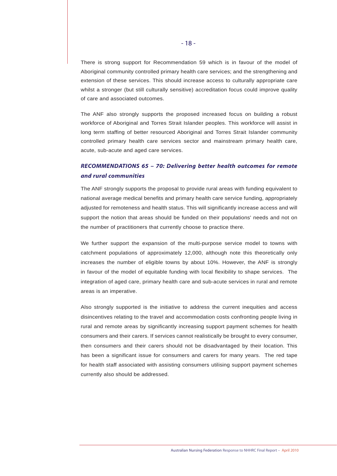There is strong support for Recommendation 59 which is in favour of the model of Aboriginal community controlled primary health care services; and the strengthening and extension of these services. This should increase access to culturally appropriate care whilst a stronger (but still culturally sensitive) accreditation focus could improve quality of care and associated outcomes.

The ANF also strongly supports the proposed increased focus on building a robust workforce of Aboriginal and Torres Strait Islander peoples. This workforce will assist in long term staffing of better resourced Aboriginal and Torres Strait Islander community controlled primary health care services sector and mainstream primary health care, acute, sub-acute and aged care services.

## *RECOMMENDATIONS 65 – 70: Delivering better health outcomes for remote and rural communities*

The ANF strongly supports the proposal to provide rural areas with funding equivalent to national average medical benefits and primary health care service funding, appropriately adjusted for remoteness and health status. This will significantly increase access and will support the notion that areas should be funded on their populations' needs and not on the number of practitioners that currently choose to practice there.

We further support the expansion of the multi-purpose service model to towns with catchment populations of approximately 12,000, although note this theoretically only increases the number of eligible towns by about 10%. However, the ANF is strongly in favour of the model of equitable funding with local flexibility to shape services. The integration of aged care, primary health care and sub-acute services in rural and remote areas is an imperative.

Also strongly supported is the initiative to address the current inequities and access disincentives relating to the travel and accommodation costs confronting people living in rural and remote areas by significantly increasing support payment schemes for health consumers and their carers. If services cannot realistically be brought to every consumer, then consumers and their carers should not be disadvantaged by their location. This has been a significant issue for consumers and carers for many years. The red tape for health staff associated with assisting consumers utilising support payment schemes currently also should be addressed.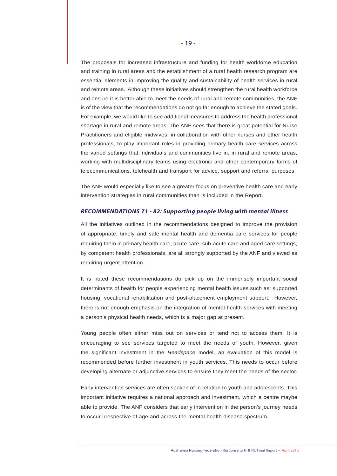The proposals for increased infrastructure and funding for health workforce education and training in rural areas and the establishment of a rural health research program are essential elements in improving the quality and sustainability of health services in rural and remote areas. Although these initiatives should strengthen the rural health workforce and ensure it is better able to meet the needs of rural and remote communities, the ANF is of the view that the recommendations do not go far enough to achieve the stated goals. For example, we would like to see additional measures to address the health professional shortage in rural and remote areas. The ANF sees that there is great potential for Nurse Practitioners and eligible midwives, in collaboration with other nurses and other health professionals, to play important roles in providing primary health care services across the varied settings that individuals and communities live in, in rural and remote areas, working with multidisciplinary teams using electronic and other contemporary forms of telecommunications, telehealth and transport for advice, support and referral purposes.

The ANF would especially like to see a greater focus on preventive health care and early intervention strategies in rural communities than is included in the Report.

#### *RECOMMENDATIONS 71 - 82: Supporting people living with mental illness*

All the initiatives outlined in the recommendations designed to improve the provision of appropriate, timely and safe mental health and dementia care services for people requiring them in primary health care, acute care, sub-acute care and aged care settings, by competent health professionals, are all strongly supported by the ANF and viewed as requiring urgent attention.

It is noted these recommendations do pick up on the immensely important social determinants of health for people experiencing mental health issues such as: supported housing, vocational rehabilitation and post-placement employment support. However, there is not enough emphasis on the integration of mental health services with meeting a person's physical health needs, which is a major gap at present.

Young people often either miss out on services or tend not to access them. It is encouraging to see services targeted to meet the needs of youth. However, given the significant investment in the *Headspace* model, an evaluation of this model is recommended before further investment in youth services. This needs to occur before developing alternate or adjunctive services to ensure they meet the needs of the sector.

Early intervention services are often spoken of in relation to youth and adolescents. This important initiative requires a national approach and investment, which a centre maybe able to provide. The ANF considers that early intervention in the person's journey needs to occur irrespective of age and across the mental health disease spectrum.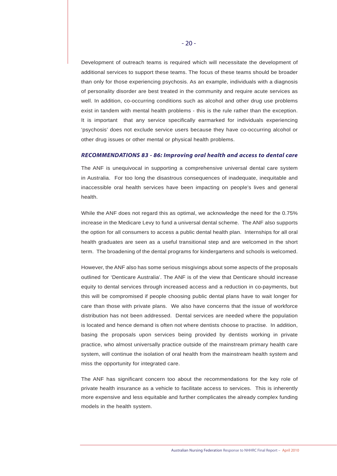Development of outreach teams is required which will necessitate the development of additional services to support these teams. The focus of these teams should be broader than only for those experiencing psychosis. As an example, individuals with a diagnosis of personality disorder are best treated in the community and require acute services as well. In addition, co-occurring conditions such as alcohol and other drug use problems exist in tandem with mental health problems - this is the rule rather than the exception. It is important that any service specifically earmarked for individuals experiencing 'psychosis' does not exclude service users because they have co-occurring alcohol or other drug issues or other mental or physical health problems.

#### *RECOMMENDATIONS 83 - 86: Improving oral health and access to dental care*

The ANF is unequivocal in supporting a comprehensive universal dental care system in Australia. For too long the disastrous consequences of inadequate, inequitable and inaccessible oral health services have been impacting on people's lives and general health.

While the ANF does not regard this as optimal, we acknowledge the need for the 0.75% increase in the Medicare Levy to fund a universal dental scheme. The ANF also supports the option for all consumers to access a public dental health plan. Internships for all oral health graduates are seen as a useful transitional step and are welcomed in the short term. The broadening of the dental programs for kindergartens and schools is welcomed.

However, the ANF also has some serious misgivings about some aspects of the proposals outlined for 'Denticare Australia'. The ANF is of the view that Denticare should increase equity to dental services through increased access and a reduction in co-payments, but this will be compromised if people choosing public dental plans have to wait longer for care than those with private plans. We also have concerns that the issue of workforce distribution has not been addressed. Dental services are needed where the population is located and hence demand is often not where dentists choose to practise. In addition, basing the proposals upon services being provided by dentists working in private practice, who almost universally practice outside of the mainstream primary health care system, will continue the isolation of oral health from the mainstream health system and miss the opportunity for integrated care.

The ANF has significant concern too about the recommendations for the key role of private health insurance as a vehicle to facilitate access to services. This is inherently more expensive and less equitable and further complicates the already complex funding models in the health system.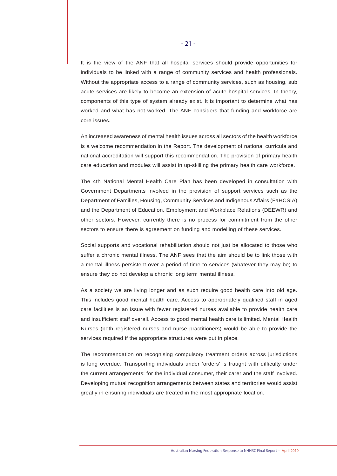It is the view of the ANF that all hospital services should provide opportunities for individuals to be linked with a range of community services and health professionals. Without the appropriate access to a range of community services, such as housing, sub acute services are likely to become an extension of acute hospital services. In theory, components of this type of system already exist. It is important to determine what has worked and what has not worked. The ANF considers that funding and workforce are core issues.

An increased awareness of mental health issues across all sectors of the health workforce is a welcome recommendation in the Report. The development of national curricula and national accreditation will support this recommendation. The provision of primary health care education and modules will assist in up-skilling the primary health care workforce.

The 4th National Mental Health Care Plan has been developed in consultation with Government Departments involved in the provision of support services such as the Department of Families, Housing, Community Services and Indigenous Affairs (FaHCSIA) and the Department of Education, Employment and Workplace Relations (DEEWR) and other sectors. However, currently there is no process for commitment from the other sectors to ensure there is agreement on funding and modelling of these services.

Social supports and vocational rehabilitation should not just be allocated to those who suffer a chronic mental illness. The ANF sees that the aim should be to link those with a mental illness persistent over a period of time to services (whatever they may be) to ensure they do not develop a chronic long term mental illness.

As a society we are living longer and as such require good health care into old age. This includes good mental health care. Access to appropriately qualified staff in aged care facilities is an issue with fewer registered nurses available to provide health care and insufficient staff overall. Access to good mental health care is limited. Mental Health Nurses (both registered nurses and nurse practitioners) would be able to provide the services required if the appropriate structures were put in place.

The recommendation on recognising compulsory treatment orders across jurisdictions is long overdue. Transporting individuals under 'orders' is fraught with difficulty under the current arrangements: for the individual consumer, their carer and the staff involved. Developing mutual recognition arrangements between states and territories would assist greatly in ensuring individuals are treated in the most appropriate location.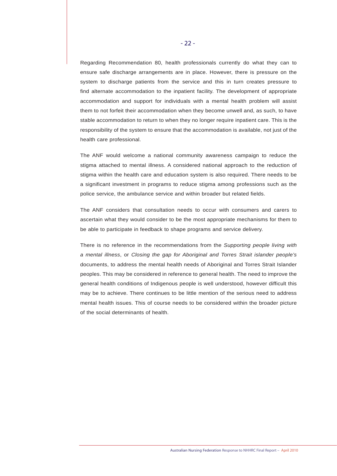Regarding Recommendation 80, health professionals currently do what they can to ensure safe discharge arrangements are in place. However, there is pressure on the system to discharge patients from the service and this in turn creates pressure to find alternate accommodation to the inpatient facility. The development of appropriate accommodation and support for individuals with a mental health problem will assist them to not forfeit their accommodation when they become unwell and, as such, to have stable accommodation to return to when they no longer require inpatient care. This is the responsibility of the system to ensure that the accommodation is available, not just of the health care professional.

The ANF would welcome a national community awareness campaign to reduce the stigma attached to mental illness. A considered national approach to the reduction of stigma within the health care and education system is also required. There needs to be a significant investment in programs to reduce stigma among professions such as the police service, the ambulance service and within broader but related fields.

The ANF considers that consultation needs to occur with consumers and carers to ascertain what they would consider to be the most appropriate mechanisms for them to be able to participate in feedback to shape programs and service delivery.

There is no reference in the recommendations from the *Supporting people living with a mental illness*, or *Closing the gap for Aboriginal and Torres Strait islander people's*  documents, to address the mental health needs of Aboriginal and Torres Strait Islander peoples. This may be considered in reference to general health. The need to improve the general health conditions of Indigenous people is well understood, however difficult this may be to achieve. There continues to be little mention of the serious need to address mental health issues. This of course needs to be considered within the broader picture of the social determinants of health.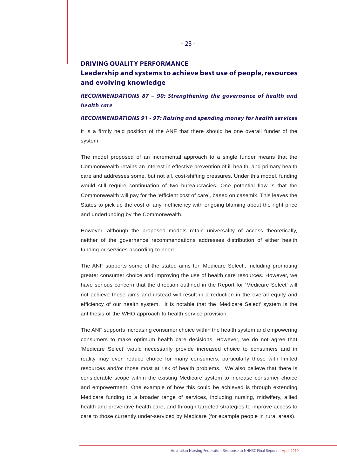## **DRIVING QUALITY PERFORMANCE Leadership and systems to achieve best use of people, resources**

**and evolving knowledge**

*RECOMMENDATIONS 87 – 90: Strengthening the governance of health and health care*

*RECOMMENDATIONS 91 - 97: Raising and spending money for health services* 

It is a firmly held position of the ANF that there should be one overall funder of the system.

The model proposed of an incremental approach to a single funder means that the Commonwealth retains an interest in effective prevention of ill health, and primary health care and addresses some, but not all, cost-shifting pressures. Under this model, funding would still require continuation of two bureaucracies. One potential flaw is that the Commonwealth will pay for the 'efficient cost of care', based on casemix. This leaves the States to pick up the cost of any inefficiency with ongoing blaming about the right price and underfunding by the Commonwealth.

However, although the proposed models retain universality of access theoretically, neither of the governance recommendations addresses distribution of either health funding or services according to need.

The ANF supports some of the stated aims for 'Medicare Select', including promoting greater consumer choice and improving the use of health care resources. However, we have serious concern that the direction outlined in the Report for 'Medicare Select' will not achieve these aims and instead will result in a reduction in the overall equity and efficiency of our health system. It is notable that the 'Medicare Select' system is the antithesis of the WHO approach to health service provision.

The ANF supports increasing consumer choice within the health system and empowering consumers to make optimum health care decisions. However, we do not agree that 'Medicare Select' would necessarily provide increased choice to consumers and in reality may even reduce choice for many consumers, particularly those with limited resources and/or those most at risk of health problems. We also believe that there is considerable scope within the existing Medicare system to increase consumer choice and empowerment. One example of how this could be achieved is through extending Medicare funding to a broader range of services, including nursing, midwifery, allied health and preventive health care, and through targeted strategies to improve access to care to those currently under-serviced by Medicare (for example people in rural areas).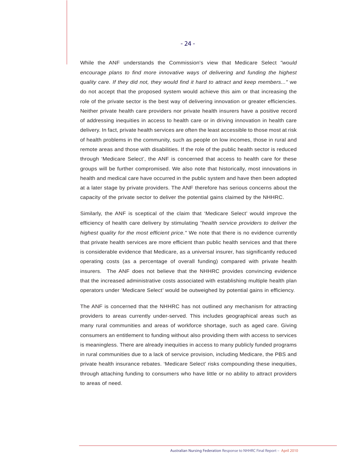While the ANF understands the Commission's view that Medicare Select *"would encourage plans to find more innovative ways of delivering and funding the highest quality care. If they did not, they would find it hard to attract and keep members..."* we do not accept that the proposed system would achieve this aim or that increasing the role of the private sector is the best way of delivering innovation or greater efficiencies. Neither private health care providers nor private health insurers have a positive record of addressing inequities in access to health care or in driving innovation in health care delivery. In fact, private health services are often the least accessible to those most at risk of health problems in the community, such as people on low incomes, those in rural and remote areas and those with disabilities. If the role of the public health sector is reduced through 'Medicare Select', the ANF is concerned that access to health care for these groups will be further compromised. We also note that historically, most innovations in health and medical care have occurred in the public system and have then been adopted at a later stage by private providers. The ANF therefore has serious concerns about the capacity of the private sector to deliver the potential gains claimed by the NHHRC.

Similarly, the ANF is sceptical of the claim that 'Medicare Select' would improve the efficiency of health care delivery by stimulating *"health service providers to deliver the highest quality for the most efficient price."* We note that there is no evidence currently that private health services are more efficient than public health services and that there is considerable evidence that Medicare, as a universal insurer, has significantly reduced operating costs (as a percentage of overall funding) compared with private health insurers. The ANF does not believe that the NHHRC provides convincing evidence that the increased administrative costs associated with establishing multiple health plan operators under 'Medicare Select' would be outweighed by potential gains in efficiency.

The ANF is concerned that the NHHRC has not outlined any mechanism for attracting providers to areas currently under-served. This includes geographical areas such as many rural communities and areas of workforce shortage, such as aged care. Giving consumers an entitlement to funding without also providing them with access to services is meaningless. There are already inequities in access to many publicly funded programs in rural communities due to a lack of service provision, including Medicare, the PBS and private health insurance rebates. 'Medicare Select' risks compounding these inequities, through attaching funding to consumers who have little or no ability to attract providers to areas of need.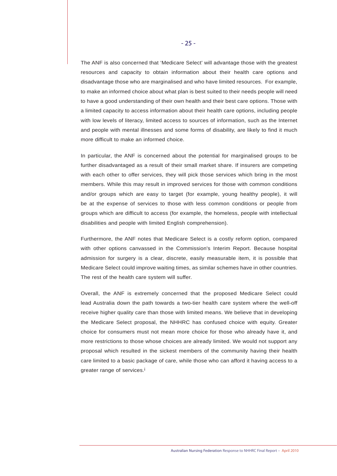The ANF is also concerned that 'Medicare Select' will advantage those with the greatest resources and capacity to obtain information about their health care options and disadvantage those who are marginalised and who have limited resources. For example, to make an informed choice about what plan is best suited to their needs people will need to have a good understanding of their own health and their best care options. Those with a limited capacity to access information about their health care options, including people with low levels of literacy, limited access to sources of information, such as the Internet and people with mental illnesses and some forms of disability, are likely to find it much more difficult to make an informed choice.

In particular, the ANF is concerned about the potential for marginalised groups to be further disadvantaged as a result of their small market share. If insurers are competing with each other to offer services, they will pick those services which bring in the most members. While this may result in improved services for those with common conditions and/or groups which are easy to target (for example, young healthy people), it will be at the expense of services to those with less common conditions or people from groups which are difficult to access (for example, the homeless, people with intellectual disabilities and people with limited English comprehension).

Furthermore, the ANF notes that Medicare Select is a costly reform option, compared with other options canvassed in the Commission's Interim Report. Because hospital admission for surgery is a clear, discrete, easily measurable item, it is possible that Medicare Select could improve waiting times, as similar schemes have in other countries. The rest of the health care system will suffer.

Overall, the ANF is extremely concerned that the proposed Medicare Select could lead Australia down the path towards a two-tier health care system where the well-off receive higher quality care than those with limited means. We believe that in developing the Medicare Select proposal, the NHHRC has confused choice with equity. Greater choice for consumers must not mean more choice for those who already have it, and more restrictions to those whose choices are already limited. We would not support any proposal which resulted in the sickest members of the community having their health care limited to a basic package of care, while those who can afford it having access to a greater range of services.<sup>i</sup>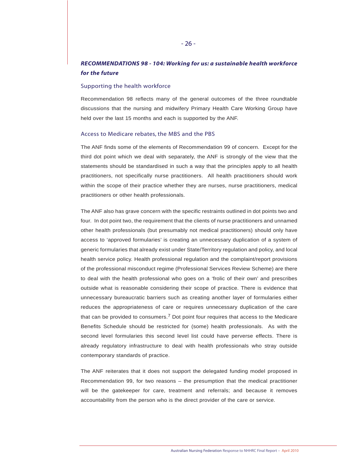## *RECOMMENDATIONS 98 - 104: Working for us: a sustainable health workforce for the future*

#### Supporting the health workforce

Recommendation 98 reflects many of the general outcomes of the three roundtable discussions that the nursing and midwifery Primary Health Care Working Group have held over the last 15 months and each is supported by the ANF.

#### Access to Medicare rebates, the MBS and the PBS

The ANF finds some of the elements of Recommendation 99 of concern. Except for the third dot point which we deal with separately, the ANF is strongly of the view that the statements should be standardised in such a way that the principles apply to all health practitioners, not specifically nurse practitioners. All health practitioners should work within the scope of their practice whether they are nurses, nurse practitioners, medical practitioners or other health professionals.

The ANF also has grave concern with the specific restraints outlined in dot points two and four. In dot point two, the requirement that the clients of nurse practitioners and unnamed other health professionals (but presumably not medical practitioners) should only have access to 'approved formularies' is creating an unnecessary duplication of a system of generic formularies that already exist under State/Territory regulation and policy, and local health service policy. Health professional regulation and the complaint/report provisions of the professional misconduct regime (Professional Services Review Scheme) are there to deal with the health professional who goes on a 'frolic of their own' and prescribes outside what is reasonable considering their scope of practice. There is evidence that unnecessary bureaucratic barriers such as creating another layer of formularies either reduces the appropriateness of care or requires unnecessary duplication of the care that can be provided to consumers.<sup>7</sup> Dot point four requires that access to the Medicare Benefits Schedule should be restricted for (some) health professionals. As with the second level formularies this second level list could have perverse effects. There is already regulatory infrastructure to deal with health professionals who stray outside contemporary standards of practice.

The ANF reiterates that it does not support the delegated funding model proposed in Recommendation 99, for two reasons – the presumption that the medical practitioner will be the gatekeeper for care, treatment and referrals; and because it removes accountability from the person who is the direct provider of the care or service.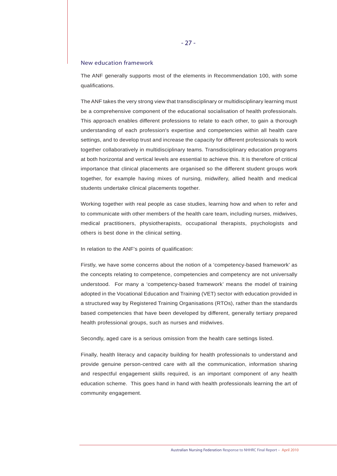#### New education framework

The ANF generally supports most of the elements in Recommendation 100, with some qualifications.

The ANF takes the very strong view that transdisciplinary or multidisciplinary learning must be a comprehensive component of the educational socialisation of health professionals. This approach enables different professions to relate to each other, to gain a thorough understanding of each profession's expertise and competencies within all health care settings, and to develop trust and increase the capacity for different professionals to work together collaboratively in multidisciplinary teams. Transdisciplinary education programs at both horizontal and vertical levels are essential to achieve this. It is therefore of critical importance that clinical placements are organised so the different student groups work together, for example having mixes of nursing, midwifery, allied health and medical students undertake clinical placements together.

Working together with real people as case studies, learning how and when to refer and to communicate with other members of the health care team, including nurses, midwives, medical practitioners, physiotherapists, occupational therapists, psychologists and others is best done in the clinical setting.

In relation to the ANF's points of qualification:

Firstly, we have some concerns about the notion of a 'competency-based framework' as the concepts relating to competence, competencies and competency are not universally understood. For many a 'competency-based framework' means the model of training adopted in the Vocational Education and Training (VET) sector with education provided in a structured way by Registered Training Organisations (RTOs), rather than the standards based competencies that have been developed by different, generally tertiary prepared health professional groups, such as nurses and midwives.

Secondly, aged care is a serious omission from the health care settings listed.

Finally, health literacy and capacity building for health professionals to understand and provide genuine person-centred care with all the communication, information sharing and respectful engagement skills required, is an important component of any health education scheme. This goes hand in hand with health professionals learning the art of community engagement.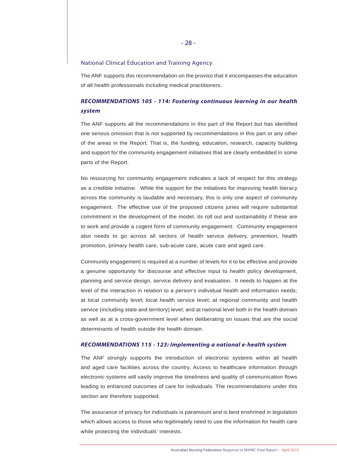#### National Clinical Education and Training Agency

The ANF supports this recommendation on the proviso that it encompasses the education of all health professionals including medical practitioners.

## *RECOMMENDATIONS 105 - 114: Fostering continuous learning in our health system*

The ANF supports all the recommendations in this part of the Report but has identified one serious omission that is not supported by recommendations in this part or any other of the areas in the Report. That is, the funding, education, research, capacity building and support for the community engagement initiatives that are clearly embedded in some parts of the Report.

No resourcing for community engagement indicates a lack of respect for this strategy as a credible initiative. While the support for the initiatives for improving health literacy across the community is laudable and necessary, this is only one aspect of community engagement. The effective use of the proposed citizens juries will require substantial commitment in the development of the model, its roll out and sustainability if these are to work and provide a cogent form of community engagement. Community engagement also needs to go across all sectors of health service delivery, prevention, health promotion, primary health care, sub-acute care, acute care and aged care.

Community engagement is required at a number of levels for it to be effective and provide a genuine opportunity for discourse and effective input to health policy development, planning and service design, service delivery and evaluation. It needs to happen at the level of the interaction in relation to a person's individual health and information needs; at local community level; local health service level; at regional community and health service (including state and territory) level; and at national level both in the health domain as well as at a cross-government level when deliberating on issues that are the social determinants of health outside the health domain.

#### *RECOMMENDATIONS 115 - 123: Implementing a national e-health system*

The ANF strongly supports the introduction of electronic systems within all health and aged care facilities across the country. Access to healthcare information through electronic systems will vastly improve the timeliness and quality of communication flows leading to enhanced outcomes of care for individuals. The recommendations under this section are therefore supported.

The assurance of privacy for individuals is paramount and is best enshrined in legislation which allows access to those who legitimately need to use the information for health care while protecting the individuals' interests.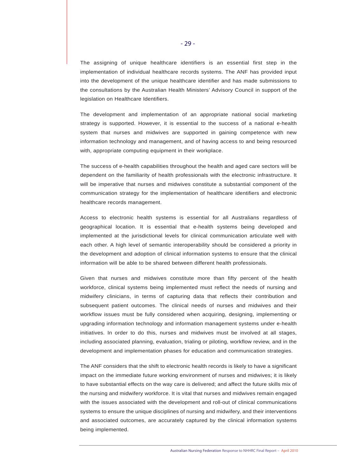The assigning of unique healthcare identifiers is an essential first step in the implementation of individual healthcare records systems. The ANF has provided input into the development of the unique healthcare identifier and has made submissions to the consultations by the Australian Health Ministers' Advisory Council in support of the legislation on Healthcare Identifiers.

The development and implementation of an appropriate national social marketing strategy is supported. However, it is essential to the success of a national e-health system that nurses and midwives are supported in gaining competence with new information technology and management, and of having access to and being resourced with, appropriate computing equipment in their workplace.

The success of e-health capabilities throughout the health and aged care sectors will be dependent on the familiarity of health professionals with the electronic infrastructure. It will be imperative that nurses and midwives constitute a substantial component of the communication strategy for the implementation of healthcare identifiers and electronic healthcare records management.

Access to electronic health systems is essential for all Australians regardless of geographical location. It is essential that e-health systems being developed and implemented at the jurisdictional levels for clinical communication articulate well with each other. A high level of semantic interoperability should be considered a priority in the development and adoption of clinical information systems to ensure that the clinical information will be able to be shared between different health professionals.

Given that nurses and midwives constitute more than fifty percent of the health workforce, clinical systems being implemented must reflect the needs of nursing and midwifery clinicians, in terms of capturing data that reflects their contribution and subsequent patient outcomes. The clinical needs of nurses and midwives and their workflow issues must be fully considered when acquiring, designing, implementing or upgrading information technology and information management systems under e-health initiatives. In order to do this, nurses and midwives must be involved at all stages, including associated planning, evaluation, trialing or piloting, workflow review, and in the development and implementation phases for education and communication strategies.

The ANF considers that the shift to electronic health records is likely to have a significant impact on the immediate future working environment of nurses and midwives; it is likely to have substantial effects on the way care is delivered; and affect the future skills mix of the nursing and midwifery workforce. It is vital that nurses and midwives remain engaged with the issues associated with the development and roll-out of clinical communications systems to ensure the unique disciplines of nursing and midwifery, and their interventions and associated outcomes, are accurately captured by the clinical information systems being implemented.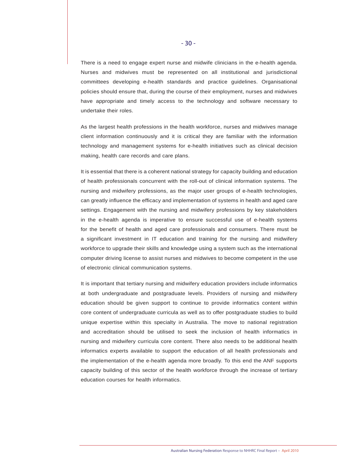There is a need to engage expert nurse and midwife clinicians in the e-health agenda. Nurses and midwives must be represented on all institutional and jurisdictional committees developing e-health standards and practice guidelines. Organisational policies should ensure that, during the course of their employment, nurses and midwives have appropriate and timely access to the technology and software necessary to undertake their roles.

As the largest health professions in the health workforce, nurses and midwives manage client information continuously and it is critical they are familiar with the information technology and management systems for e-health initiatives such as clinical decision making, health care records and care plans.

It is essential that there is a coherent national strategy for capacity building and education of health professionals concurrent with the roll-out of clinical information systems. The nursing and midwifery professions, as the major user groups of e-health technologies, can greatly influence the efficacy and implementation of systems in health and aged care settings. Engagement with the nursing and midwifery professions by key stakeholders in the e-health agenda is imperative to ensure successful use of e-health systems for the benefit of health and aged care professionals and consumers. There must be a significant investment in IT education and training for the nursing and midwifery workforce to upgrade their skills and knowledge using a system such as the international computer driving license to assist nurses and midwives to become competent in the use of electronic clinical communication systems.

It is important that tertiary nursing and midwifery education providers include informatics at both undergraduate and postgraduate levels. Providers of nursing and midwifery education should be given support to continue to provide informatics content within core content of undergraduate curricula as well as to offer postgraduate studies to build unique expertise within this specialty in Australia. The move to national registration and accreditation should be utilised to seek the inclusion of health informatics in nursing and midwifery curricula core content. There also needs to be additional health informatics experts available to support the education of all health professionals and the implementation of the e-health agenda more broadly. To this end the ANF supports capacity building of this sector of the health workforce through the increase of tertiary education courses for health informatics.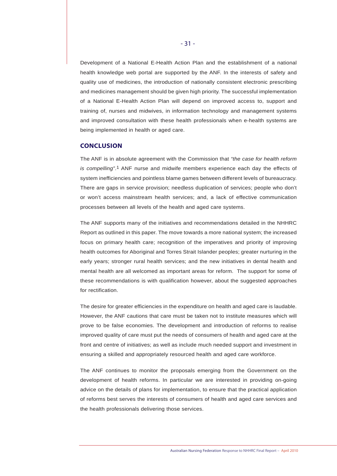Development of a National E-Health Action Plan and the establishment of a national health knowledge web portal are supported by the ANF. In the interests of safety and quality use of medicines, the introduction of nationally consistent electronic prescribing and medicines management should be given high priority. The successful implementation of a National E-Health Action Plan will depend on improved access to, support and training of, nurses and midwives, in information technology and management systems and improved consultation with these health professionals when e-health systems are being implemented in health or aged care.

#### **CONCLUSION**

The ANF is in absolute agreement with the Commission that *"the case for health reform is compelling"*.1 ANF nurse and midwife members experience each day the effects of system inefficiencies and pointless blame games between different levels of bureaucracy. There are gaps in service provision; needless duplication of services; people who don't or won't access mainstream health services; and, a lack of effective communication processes between all levels of the health and aged care systems.

The ANF supports many of the initiatives and recommendations detailed in the NHHRC Report as outlined in this paper. The move towards a more national system; the increased focus on primary health care; recognition of the imperatives and priority of improving health outcomes for Aboriginal and Torres Strait Islander peoples; greater nurturing in the early years; stronger rural health services; and the new initiatives in dental health and mental health are all welcomed as important areas for reform. The support for some of these recommendations is with qualification however, about the suggested approaches for rectification.

The desire for greater efficiencies in the expenditure on health and aged care is laudable. However, the ANF cautions that care must be taken not to institute measures which will prove to be false economies. The development and introduction of reforms to realise improved quality of care must put the needs of consumers of health and aged care at the front and centre of initiatives; as well as include much needed support and investment in ensuring a skilled and appropriately resourced health and aged care workforce.

The ANF continues to monitor the proposals emerging from the Government on the development of health reforms. In particular we are interested in providing on-going advice on the details of plans for implementation, to ensure that the practical application of reforms best serves the interests of consumers of health and aged care services and the health professionals delivering those services.